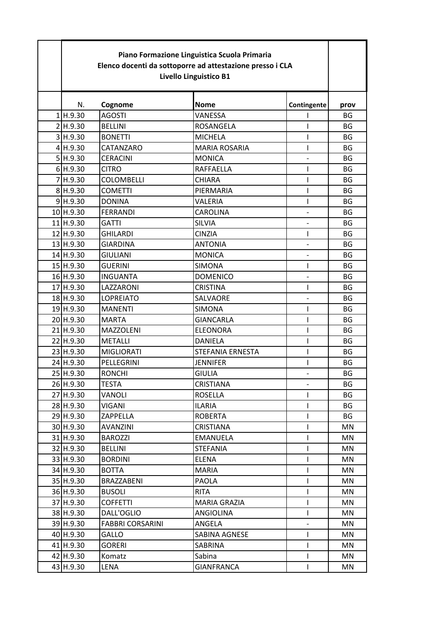| Piano Formazione Linguistica Scuola Primaria<br>Elenco docenti da sottoporre ad attestazione presso i CLA<br>Livello Linguistico B1 |                         |                      |                |           |
|-------------------------------------------------------------------------------------------------------------------------------------|-------------------------|----------------------|----------------|-----------|
| N.                                                                                                                                  | Cognome                 | <b>Nome</b>          | Contingente    | prov      |
| 1 H.9.30                                                                                                                            | <b>AGOSTI</b>           | VANESSA              | ı              | <b>BG</b> |
| 2 H.9.30                                                                                                                            | <b>BELLINI</b>          | <b>ROSANGELA</b>     | I              | BG        |
| 3 H.9.30                                                                                                                            | <b>BONETTI</b>          | <b>MICHELA</b>       | ı              | BG        |
| 4H.9.30                                                                                                                             | CATANZARO               | <b>MARIA ROSARIA</b> | T              | <b>BG</b> |
| 5H.9.30                                                                                                                             | <b>CERACINI</b>         | <b>MONICA</b>        |                | <b>BG</b> |
| 6H.9.30                                                                                                                             | <b>CITRO</b>            | <b>RAFFAELLA</b>     | T              | BG        |
| 7 H.9.30                                                                                                                            | <b>COLOMBELLI</b>       | <b>CHIARA</b>        | $\overline{1}$ | <b>BG</b> |
| 8 H.9.30                                                                                                                            | <b>COMETTI</b>          | PIERMARIA            | T              | <b>BG</b> |
| 9H.9.30                                                                                                                             | <b>DONINA</b>           | VALERIA              | T              | BG        |
| 10H.9.30                                                                                                                            | <b>FERRANDI</b>         | CAROLINA             | $\overline{a}$ | <b>BG</b> |
| 11 H.9.30                                                                                                                           | <b>GATTI</b>            | <b>SILVIA</b>        |                | <b>BG</b> |
| 12 H.9.30                                                                                                                           | <b>GHILARDI</b>         | <b>CINZIA</b>        | $\mathbf{I}$   | BG        |
| 13 H.9.30                                                                                                                           | <b>GIARDINA</b>         | <b>ANTONIA</b>       |                | BG        |
| 14 H.9.30                                                                                                                           | <b>GIULIANI</b>         | <b>MONICA</b>        |                | BG        |
| 15 H.9.30                                                                                                                           | <b>GUERINI</b>          | <b>SIMONA</b>        | T              | <b>BG</b> |
| 16 H.9.30                                                                                                                           | <b>INGUANTA</b>         | <b>DOMENICO</b>      |                | <b>BG</b> |
| 17 H.9.30                                                                                                                           | LAZZARONI               | <b>CRISTINA</b>      | T              | <b>BG</b> |
| 18 H.9.30                                                                                                                           | <b>LOPREIATO</b>        | SALVAORE             |                | BG        |
| 19 H.9.30                                                                                                                           | <b>MANENTI</b>          | <b>SIMONA</b>        | $\overline{1}$ | BG        |
| 20 H.9.30                                                                                                                           | <b>MARTA</b>            | <b>GIANCARLA</b>     | T              | BG        |
| 21 H.9.30                                                                                                                           | <b>MAZZOLENI</b>        | <b>ELEONORA</b>      | I              | BG        |
| 22 H.9.30                                                                                                                           | <b>METALLI</b>          | DANIELA              | ı              | BG        |
| 23 H.9.30                                                                                                                           | <b>MIGLIORATI</b>       | STEFANIA ERNESTA     | T              | <b>BG</b> |
| 24 H.9.30                                                                                                                           | PELLEGRINI              | JENNIFER             | I              | BG        |
| 25 H.9.30                                                                                                                           | <b>RONCHI</b>           | <b>GIULIA</b>        |                | ΒG        |
| 26 H.9.30                                                                                                                           | TESTA                   | <b>CRISTIANA</b>     |                | BG        |
| 27 H.9.30                                                                                                                           | VANOLI                  | <b>ROSELLA</b>       | I.             | BG        |
| 28 H.9.30                                                                                                                           | VIGANI                  | <b>ILARIA</b>        | T              | BG        |
| 29 H.9.30                                                                                                                           | ZAPPELLA                | <b>ROBERTA</b>       |                | BG        |
| 30 H.9.30                                                                                                                           | AVANZINI                | <b>CRISTIANA</b>     | T              | MN        |
| $31$ H.9.30                                                                                                                         | <b>BAROZZI</b>          | EMANUELA             | T              | MN        |
| 32 H.9.30                                                                                                                           | <b>BELLINI</b>          | <b>STEFANIA</b>      | L              | MN        |
| 33 H.9.30                                                                                                                           | <b>BORDINI</b>          | ELENA                | T              | MN        |
| 34 H.9.30                                                                                                                           | <b>BOTTA</b>            | <b>MARIA</b>         |                | MN        |
| 35 H.9.30                                                                                                                           | BRAZZABENI              | <b>PAOLA</b>         | L              | MN        |
| 36 H.9.30                                                                                                                           | <b>BUSOLI</b>           | <b>RITA</b>          | T              | MN        |
| 37 H.9.30                                                                                                                           | <b>COFFETTI</b>         | <b>MARIA GRAZIA</b>  | T              | MN        |
| 38 H.9.30                                                                                                                           | DALL'OGLIO              | ANGIOLINA            | $\mathsf{I}$   | MN        |
| 39 H.9.30                                                                                                                           | <b>FABBRI CORSARINI</b> | ANGELA               |                | MN        |
| 40 H.9.30                                                                                                                           | GALLO                   | SABINA AGNESE        | T              | MN        |
| 41 H.9.30                                                                                                                           | GORERI                  | SABRINA              | $\mathbf{I}$   | MN        |
| 42 H.9.30                                                                                                                           | Komatz                  | Sabina               | $\mathsf{I}$   | MN        |
| 43 H.9.30                                                                                                                           | LENA                    | GIANFRANCA           | $\mathsf{I}$   | MN        |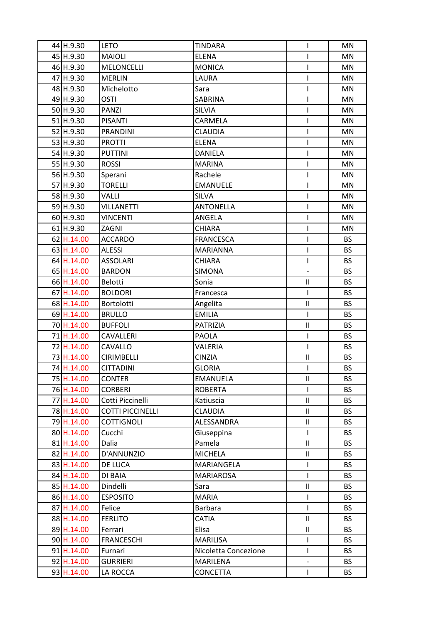| 44 H.9.30  | <b>LETO</b>             | <b>TINDARA</b>       | I                        | MN        |
|------------|-------------------------|----------------------|--------------------------|-----------|
| 45 H.9.30  | <b>MAIOLI</b>           | <b>ELENA</b>         | L                        | MN        |
| 46 H.9.30  | <b>MELONCELLI</b>       | <b>MONICA</b>        | I                        | MN        |
| 47 H.9.30  | <b>MERLIN</b>           | LAURA                | L                        | MN        |
| 48 H.9.30  | Michelotto              | Sara                 | I                        | MN        |
| 49 H.9.30  | OSTI                    | SABRINA              | I                        | MN        |
| 50 H.9.30  | PANZI                   | <b>SILVIA</b>        | I                        | MN        |
| 51 H.9.30  | <b>PISANTI</b>          | CARMELA              | L                        | MN        |
| 52 H.9.30  | <b>PRANDINI</b>         | <b>CLAUDIA</b>       | I                        | MN        |
| 53 H.9.30  | <b>PROTTI</b>           | <b>ELENA</b>         | I                        | MN        |
| 54 H.9.30  | <b>PUTTINI</b>          | <b>DANIELA</b>       | I                        | MN        |
| 55 H.9.30  | <b>ROSSI</b>            | <b>MARINA</b>        | I                        | MN        |
| 56 H.9.30  | Sperani                 | Rachele              | I                        | MN        |
| 57 H.9.30  | <b>TORELLI</b>          | <b>EMANUELE</b>      | L                        | MN        |
| 58 H.9.30  | VALLI                   | <b>SILVA</b>         | I                        | MN        |
| 59 H.9.30  | VILLANETTI              | <b>ANTONELLA</b>     | I                        | MN        |
| 60 H.9.30  | VINCENTI                | ANGELA               | L                        | MN        |
| 61 H.9.30  | ZAGNI                   | <b>CHIARA</b>        | I                        | MN        |
| 62 H.14.00 | <b>ACCARDO</b>          | <b>FRANCESCA</b>     | I                        | <b>BS</b> |
| 63 H.14.00 | <b>ALESSI</b>           | <b>MARIANNA</b>      | I                        | <b>BS</b> |
| 64 H.14.00 | <b>ASSOLARI</b>         | <b>CHIARA</b>        | I                        | <b>BS</b> |
| 65 H.14.00 | <b>BARDON</b>           | <b>SIMONA</b>        | $\overline{\phantom{0}}$ | <b>BS</b> |
| 66 H.14.00 | Belotti                 | Sonia                | Ш                        | <b>BS</b> |
| 67 H.14.00 | <b>BOLDORI</b>          | Francesca            | T                        | <b>BS</b> |
| 68 H.14.00 | <b>Bortolotti</b>       | Angelita             | Ш                        | <b>BS</b> |
| 69 H.14.00 | <b>BRULLO</b>           | <b>EMILIA</b>        | L                        | <b>BS</b> |
| 70 H.14.00 | <b>BUFFOLI</b>          | <b>PATRIZIA</b>      | $\mathsf{II}$            | <b>BS</b> |
| 71 H.14.00 | CAVALLERI               | <b>PAOLA</b>         | I                        | <b>BS</b> |
| 72 H.14.00 | CAVALLO                 | <b>VALERIA</b>       | L                        | <b>BS</b> |
| 73 H.14.00 | <b>CIRIMBELLI</b>       | <b>CINZIA</b>        | Ш                        | <b>BS</b> |
| 74 H.14.00 | <b>CITTADINI</b>        | <b>GLORIA</b>        | L                        | <b>BS</b> |
| 75 H.14.00 | <b>CONTER</b>           | <b>EMANUELA</b>      | Ш                        | <b>BS</b> |
| 76 H.14.00 | <b>CORBERI</b>          | <b>ROBERTA</b>       | L                        | <b>BS</b> |
| 77 H.14.00 | Cotti Piccinelli        | Katiuscia            | Ш                        | <b>BS</b> |
| 78 H.14.00 | <b>COTTI PICCINELLI</b> | <b>CLAUDIA</b>       | Ш                        | <b>BS</b> |
| 79 H.14.00 | <b>COTTIGNOLI</b>       | ALESSANDRA           | $\mathbf{II}$            | <b>BS</b> |
| 80 H.14.00 | Cucchi                  | Giuseppina           |                          | <b>BS</b> |
| 81 H.14.00 | Dalia                   | Pamela               | $\mathbf{H}$             | <b>BS</b> |
| 82 H.14.00 | D'ANNUNZIO              | <b>MICHELA</b>       | Ш                        | <b>BS</b> |
| 83 H.14.00 | DE LUCA                 | MARIANGELA           | I                        | <b>BS</b> |
| 84 H.14.00 | DI BAIA                 | MARIAROSA            | L                        | <b>BS</b> |
| 85 H.14.00 | Dindelli                | Sara                 | Ш                        | <b>BS</b> |
| 86 H.14.00 | <b>ESPOSITO</b>         | <b>MARIA</b>         | L                        | <b>BS</b> |
| 87 H.14.00 | Felice                  | Barbara              | L                        | <b>BS</b> |
| 88 H.14.00 | <b>FERLITO</b>          | <b>CATIA</b>         | $\mathbf{II}$            | <b>BS</b> |
| 89 H.14.00 | Ferrari                 | Elisa                | $\mathsf{II}$            | <b>BS</b> |
| 90 H.14.00 | <b>FRANCESCHI</b>       | <b>MARILISA</b>      | L                        | <b>BS</b> |
| 91 H.14.00 | Furnari                 | Nicoletta Concezione | L                        | <b>BS</b> |
| 92 H.14.00 | GURRIERI                | MARILENA             | $\overline{\phantom{0}}$ | <b>BS</b> |
| 93 H.14.00 | LA ROCCA                | CONCETTA             | L                        | BS        |